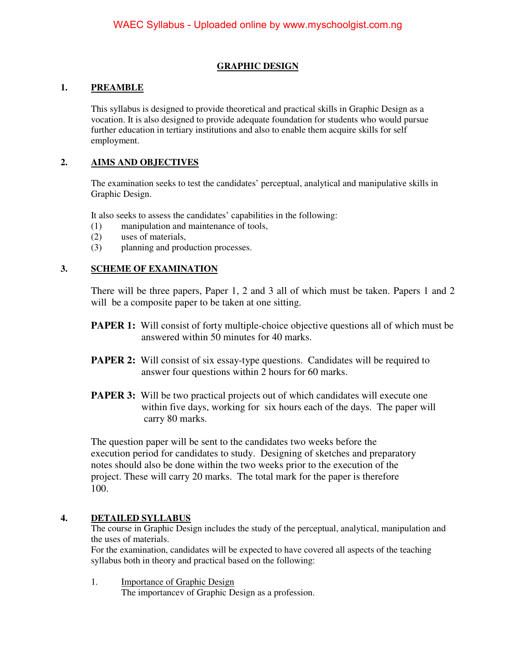## **GRAPHIC DESIGN**

## **1. PREAMBLE**

This syllabus is designed to provide theoretical and practical skills in Graphic Design as a vocation. It is also designed to provide adequate foundation for students who would pursue further education in tertiary institutions and also to enable them acquire skills for self employment.

## **2. AIMS AND OBJECTIVES**

The examination seeks to test the candidates' perceptual, analytical and manipulative skills in Graphic Design.

It also seeks to assess the candidates' capabilities in the following:

- (1) manipulation and maintenance of tools,
- (2) uses of materials,
- (3) planning and production processes.

#### **3. SCHEME OF EXAMINATION**

There will be three papers, Paper 1, 2 and 3 all of which must be taken. Papers 1 and 2 will be a composite paper to be taken at one sitting.

- **PAPER 1:** Will consist of forty multiple-choice objective questions all of which must be answered within 50 minutes for 40 marks.
- **PAPER 2:** Will consist of six essay-type questions. Candidates will be required to answer four questions within 2 hours for 60 marks.
- **PAPER 3:** Will be two practical projects out of which candidates will execute one within five days, working for six hours each of the days. The paper will carry 80 marks.

 The question paper will be sent to the candidates two weeks before the execution period for candidates to study. Designing of sketches and preparatory notes should also be done within the two weeks prior to the execution of the project. These will carry 20 marks. The total mark for the paper is therefore 100.

#### **4. DETAILED SYLLABUS**

The course in Graphic Design includes the study of the perceptual, analytical, manipulation and the uses of materials.

For the examination, candidates will be expected to have covered all aspects of the teaching syllabus both in theory and practical based on the following:

1. Importance of Graphic Design The importancev of Graphic Design as a profession.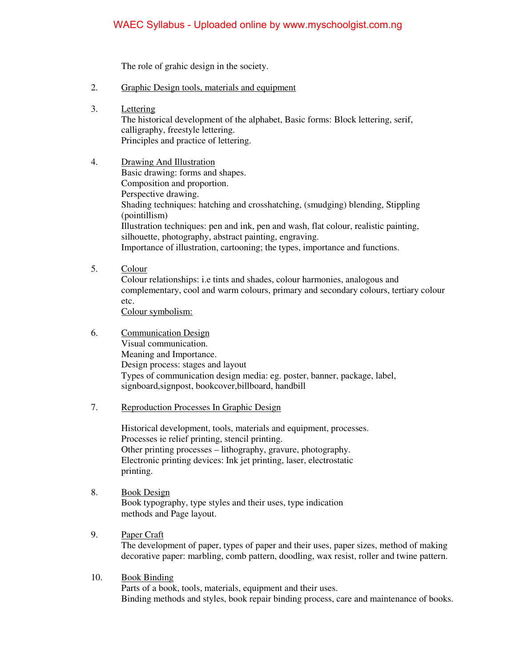# WAEC Syllabus - Uploaded online by www.myschoolgist.com.ng

The role of grahic design in the society.

- 2. Graphic Design tools, materials and equipment
- 3. Lettering

The historical development of the alphabet, Basic forms: Block lettering, serif, calligraphy, freestyle lettering. Principles and practice of lettering.

# 4. Drawing And Illustration

 Basic drawing: forms and shapes. Composition and proportion. Perspective drawing. Shading techniques: hatching and crosshatching, (smudging) blending, Stippling (pointillism) Illustration techniques: pen and ink, pen and wash, flat colour, realistic painting, silhouette, photography, abstract painting, engraving. Importance of illustration, cartooning; the types, importance and functions.

5. Colour

Colour relationships: i.e tints and shades, colour harmonies, analogous and complementary, cool and warm colours, primary and secondary colours, tertiary colour etc.

Colour symbolism:

- 6. Communication Design Visual communication. Meaning and Importance. Design process: stages and layout Types of communication design media: eg. poster, banner, package, label, signboard,signpost, bookcover,billboard, handbill
- 7. Reproduction Processes In Graphic Design

 Historical development, tools, materials and equipment, processes. Processes ie relief printing, stencil printing. Other printing processes – lithography, gravure, photography. Electronic printing devices: Ink jet printing, laser, electrostatic printing.

- 8. Book Design Book typography, type styles and their uses, type indication methods and Page layout.
- 9. Paper Craft

The development of paper, types of paper and their uses, paper sizes, method of making decorative paper: marbling, comb pattern, doodling, wax resist, roller and twine pattern.

10. Book Binding

 Parts of a book, tools, materials, equipment and their uses. Binding methods and styles, book repair binding process, care and maintenance of books.